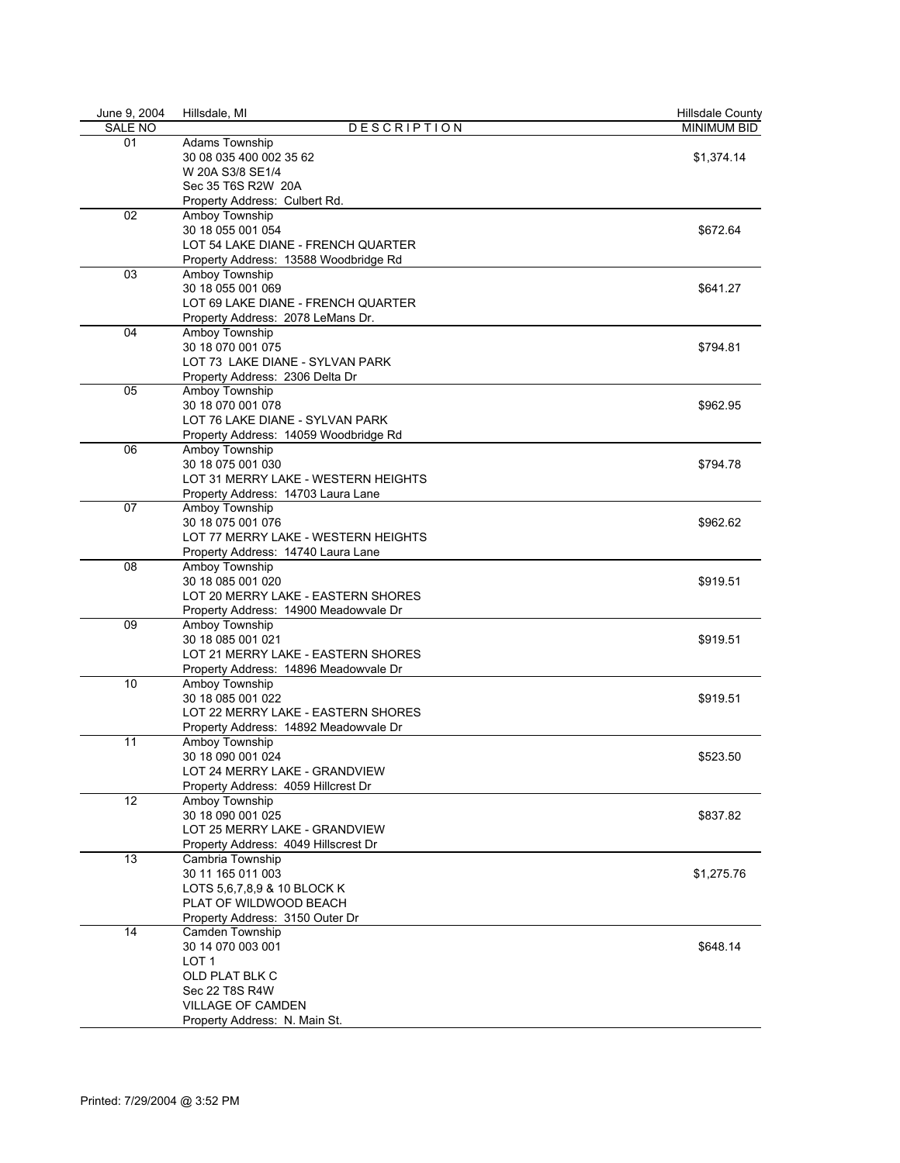| June 9, 2004   | Hillsdale, MI                         | <b>Hillsdale County</b> |
|----------------|---------------------------------------|-------------------------|
| <b>SALE NO</b> | <b>DESCRIPTION</b>                    | <b>MINIMUM BID</b>      |
| 01             | Adams Township                        |                         |
|                | 30 08 035 400 002 35 62               | \$1,374.14              |
|                | W 20A S3/8 SE1/4                      |                         |
|                | Sec 35 T6S R2W 20A                    |                         |
|                | Property Address: Culbert Rd.         |                         |
| 02             | Amboy Township                        |                         |
|                | 30 18 055 001 054                     | \$672.64                |
|                | LOT 54 LAKE DIANE - FRENCH QUARTER    |                         |
|                | Property Address: 13588 Woodbridge Rd |                         |
| 03             | Amboy Township                        |                         |
|                | 30 18 055 001 069                     | \$641.27                |
|                | LOT 69 LAKE DIANE - FRENCH QUARTER    |                         |
|                | Property Address: 2078 LeMans Dr.     |                         |
| 04             | Amboy Township                        |                         |
|                | 30 18 070 001 075                     | \$794.81                |
|                | LOT 73 LAKE DIANE - SYLVAN PARK       |                         |
|                | Property Address: 2306 Delta Dr       |                         |
| 05             |                                       |                         |
|                | Amboy Township                        |                         |
|                | 30 18 070 001 078                     | \$962.95                |
|                | LOT 76 LAKE DIANE - SYLVAN PARK       |                         |
|                | Property Address: 14059 Woodbridge Rd |                         |
| 06             | Amboy Township                        |                         |
|                | 30 18 075 001 030                     | \$794.78                |
|                | LOT 31 MERRY LAKE - WESTERN HEIGHTS   |                         |
|                | Property Address: 14703 Laura Lane    |                         |
| 07             | Amboy Township                        |                         |
|                | 30 18 075 001 076                     | \$962.62                |
|                | LOT 77 MERRY LAKE - WESTERN HEIGHTS   |                         |
|                | Property Address: 14740 Laura Lane    |                         |
| 08             | Amboy Township                        |                         |
|                | 30 18 085 001 020                     | \$919.51                |
|                | LOT 20 MERRY LAKE - EASTERN SHORES    |                         |
|                | Property Address: 14900 Meadowvale Dr |                         |
| 09             | Amboy Township                        |                         |
|                | 30 18 085 001 021                     | \$919.51                |
|                | LOT 21 MERRY LAKE - EASTERN SHORES    |                         |
|                | Property Address: 14896 Meadowvale Dr |                         |
| 10             | Amboy Township                        |                         |
|                | 30 18 085 001 022                     | \$919.51                |
|                | LOT 22 MERRY LAKE - EASTERN SHORES    |                         |
|                |                                       |                         |
|                | Property Address: 14892 Meadowvale Dr |                         |
| 11             | Amboy Township                        |                         |
|                | 30 18 090 001 024                     | \$523.50                |
|                | LOT 24 MERRY LAKE - GRANDVIEW         |                         |
|                | Property Address: 4059 Hillcrest Dr   |                         |
| 12             | Amboy Township                        |                         |
|                | 30 18 090 001 025                     | \$837.82                |
|                | LOT 25 MERRY LAKE - GRANDVIEW         |                         |
|                | Property Address: 4049 Hillscrest Dr  |                         |
| 13             | Cambria Township                      |                         |
|                | 30 11 165 011 003                     | \$1,275.76              |
|                | LOTS 5.6.7.8.9 & 10 BLOCK K           |                         |
|                | PLAT OF WILDWOOD BEACH                |                         |
|                | Property Address: 3150 Outer Dr       |                         |
| 14             | Camden Township                       |                         |
|                | 30 14 070 003 001                     | \$648.14                |
|                | LOT 1                                 |                         |
|                | OLD PLAT BLK C                        |                         |
|                | Sec 22 T8S R4W                        |                         |
|                | <b>VILLAGE OF CAMDEN</b>              |                         |
|                | Property Address: N. Main St.         |                         |
|                |                                       |                         |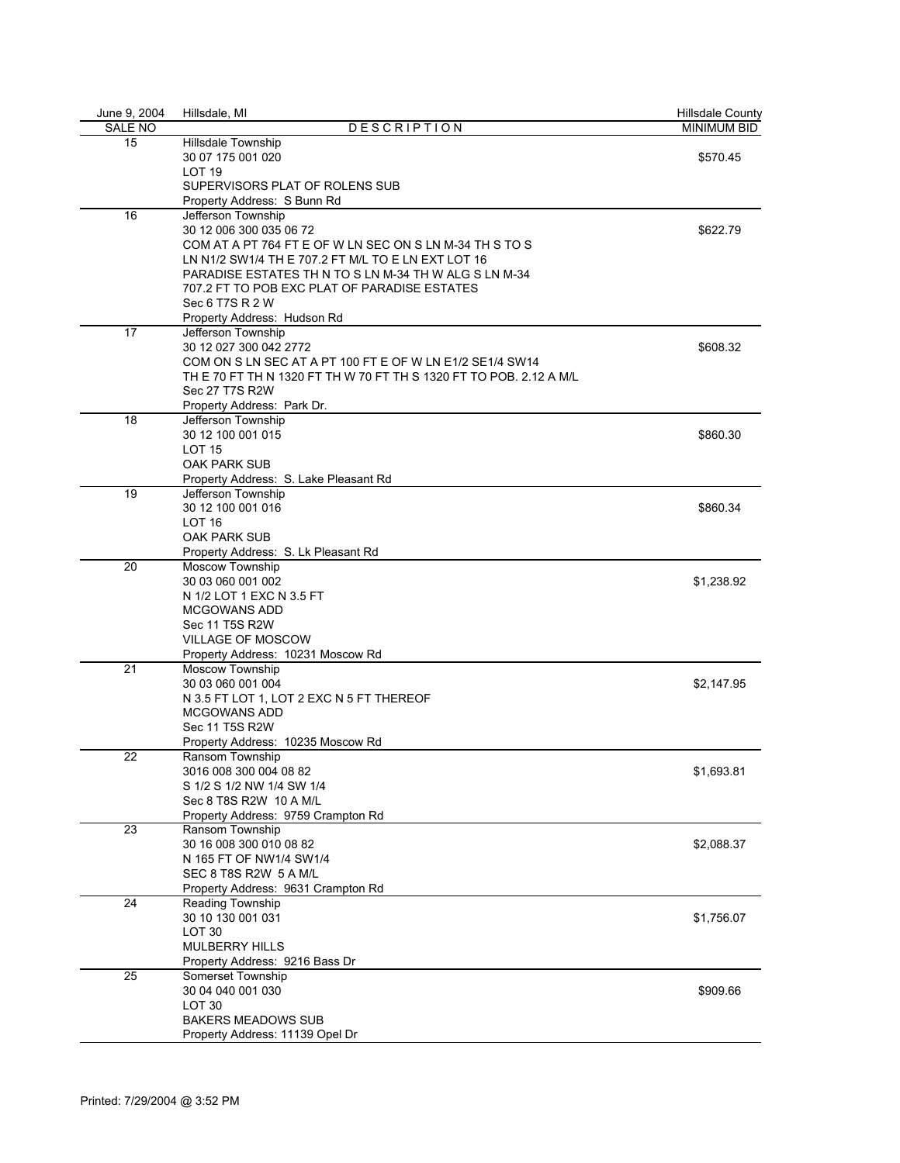| June 9, 2004   | Hillsdale, MI                                                      | <b>Hillsdale County</b> |
|----------------|--------------------------------------------------------------------|-------------------------|
| <b>SALE NO</b> | <b>DESCRIPTION</b>                                                 | <b>MINIMUM BID</b>      |
| 15             | Hillsdale Township                                                 |                         |
|                | 30 07 175 001 020                                                  | \$570.45                |
|                | LOT <sub>19</sub>                                                  |                         |
|                | SUPERVISORS PLAT OF ROLENS SUB                                     |                         |
|                | Property Address: S Bunn Rd                                        |                         |
| 16             | Jefferson Township                                                 |                         |
|                | 30 12 006 300 035 06 72                                            | \$622.79                |
|                | COM AT A PT 764 FT E OF W LN SEC ON S LN M-34 TH S TO S            |                         |
|                | LN N1/2 SW1/4 TH E 707.2 FT M/L TO E LN EXT LOT 16                 |                         |
|                | PARADISE ESTATES TH N TO S LN M-34 TH W ALG S LN M-34              |                         |
|                | 707.2 FT TO POB EXC PLAT OF PARADISE ESTATES                       |                         |
|                | Sec 6 T7S R 2 W                                                    |                         |
|                | Property Address: Hudson Rd                                        |                         |
| 17             | Jefferson Township                                                 |                         |
|                | 30 12 027 300 042 2772                                             | \$608.32                |
|                | COM ON S LN SEC AT A PT 100 FT E OF W LN E1/2 SE1/4 SW14           |                         |
|                | TH E 70 FT TH N 1320 FT TH W 70 FT TH S 1320 FT TO POB. 2.12 A M/L |                         |
|                | Sec 27 T7S R2W                                                     |                         |
|                | Property Address: Park Dr.                                         |                         |
| 18             | Jefferson Township                                                 |                         |
|                | 30 12 100 001 015                                                  | \$860.30                |
|                | <b>LOT 15</b>                                                      |                         |
|                | OAK PARK SUB                                                       |                         |
|                | Property Address: S. Lake Pleasant Rd                              |                         |
| 19             | Jefferson Township                                                 |                         |
|                | 30 12 100 001 016                                                  | \$860.34                |
|                | LOT <sub>16</sub>                                                  |                         |
|                | OAK PARK SUB                                                       |                         |
|                | Property Address: S. Lk Pleasant Rd                                |                         |
| 20             | Moscow Township                                                    |                         |
|                | 30 03 060 001 002                                                  | \$1,238.92              |
|                | N 1/2 LOT 1 EXC N 3.5 FT                                           |                         |
|                | <b>MCGOWANS ADD</b>                                                |                         |
|                | Sec 11 T5S R2W                                                     |                         |
|                | VILLAGE OF MOSCOW                                                  |                         |
|                | Property Address: 10231 Moscow Rd                                  |                         |
| 21             | Moscow Township                                                    |                         |
|                | 30 03 060 001 004                                                  | \$2,147.95              |
|                | N 3.5 FT LOT 1, LOT 2 EXC N 5 FT THEREOF                           |                         |
|                | <b>MCGOWANS ADD</b>                                                |                         |
|                | Sec 11 T5S R2W                                                     |                         |
|                | Property Address: 10235 Moscow Rd                                  |                         |
| 22             | Ransom Township                                                    |                         |
|                | 3016 008 300 004 08 82                                             | \$1,693.81              |
|                | S 1/2 S 1/2 NW 1/4 SW 1/4                                          |                         |
|                | Sec 8 T8S R2W 10 A M/L                                             |                         |
|                | Property Address: 9759 Crampton Rd                                 |                         |
| 23             | Ransom Township                                                    |                         |
|                | 30 16 008 300 010 08 82                                            | \$2,088.37              |
|                | N 165 FT OF NW1/4 SW1/4                                            |                         |
|                | SEC 8 T8S R2W 5 A M/L                                              |                         |
|                | Property Address: 9631 Crampton Rd                                 |                         |
| 24             | Reading Township                                                   |                         |
|                | 30 10 130 001 031                                                  | \$1,756.07              |
|                | LOT <sub>30</sub>                                                  |                         |
|                | <b>MULBERRY HILLS</b>                                              |                         |
|                | Property Address: 9216 Bass Dr                                     |                         |
| 25             | Somerset Township                                                  |                         |
|                | 30 04 040 001 030                                                  | \$909.66                |
|                | LOT <sub>30</sub>                                                  |                         |
|                | <b>BAKERS MEADOWS SUB</b>                                          |                         |
|                | Property Address: 11139 Opel Dr                                    |                         |